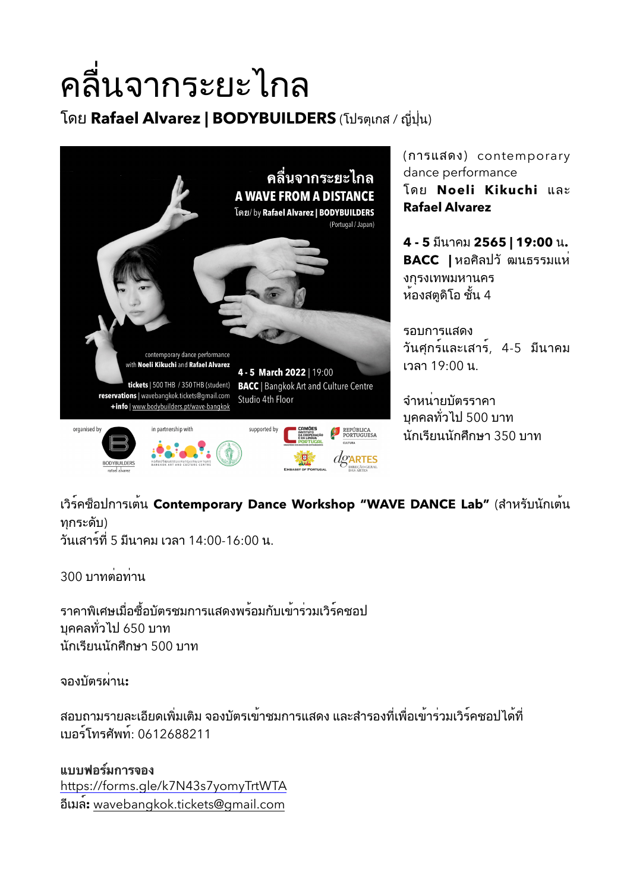## คลื่นจากระยะไกล

โดย Rafael Alvarez | BODYBUILDERS (โปรตุเกส / ญี่ปุ่น)



(การแสดง) contemporary dance performance โดย Noeli Kikuchi และ **Rafael Alvarez**

 $4 - 5$  มีนาคม 2565 | 19:00 น. **BACC** | หอศิลปวั ฒนธรรมแห**่** งกุรงเทพมหานคร  $\check{a}$ องสตูดิโอ ชั้น 4

รอบการแสดง ้วันศกร์และเสาร์, 4-5 มีนาคม เวลา 19:00 น.

ี่จำหน่ายบัตรราคา ี บคคลทั่วไป 500 บาท นักเรียนนักศึกษา 350 บาท

เวิร์คซ็อปการเต<sup>้</sup>น Contemporary Dance Workshop "WAVE DANCE Lab" (สำหรับนักเต<sup>้</sup>น ทกระดับ)

์วันเสาร์ที่ 5 มีนาคม เวลา 14:00-16:00 น.

300 บาทต่อท่าน

้ ราคาพิเศษเมื่อซื้อบัตรชมการแสดงพร้อมกับเข้าร่วมเวิร์คชอป ิบคคลทั่วไป 650 บาท นักเรียนนักศึกษา 500 บาท

ี<br>จองบัตรผ**่าบ**∙

ี่สอบถามรายละเอียดเพิ่มเติม จองบัตรเข้าชมการแสดง และสำรองที่เพื่อเข้าร่วมเวิร์คชอปได้ที่ 2F:)G-A);>BAG: 0612688211

**แบบฟอรมการจอง** <https://forms.gle/k7N43s7yomyTrtWTA> :528"G**:** [wavebangkok.tickets@gmail.com](mailto:wavebangkok.tickets@gmail.com)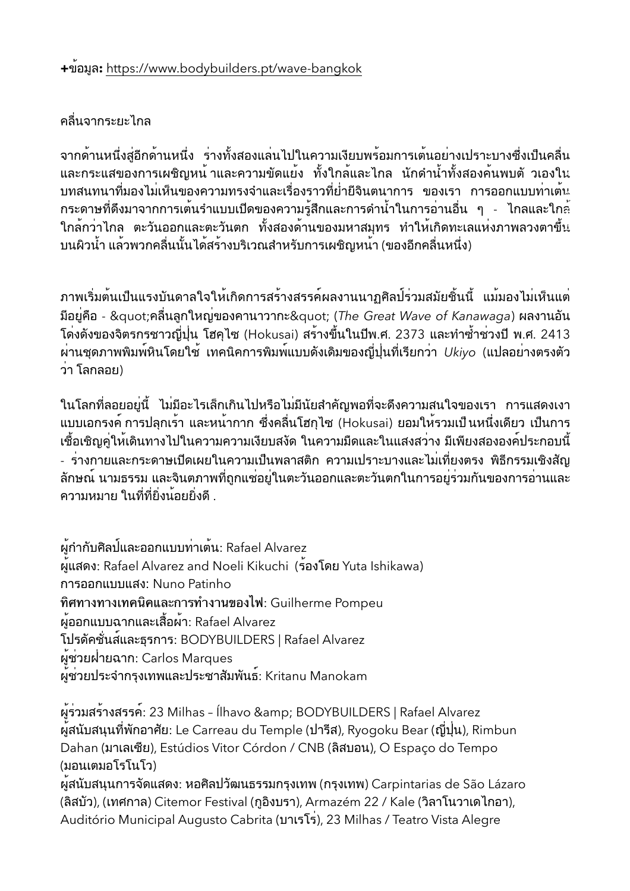## ้คลื่นจากระยะไกล

ี่จากด้านหนึ่งสู่อีกด้านหนึ่ง ร่างทั้งสองแล<sup>่</sup>นไปในความเงียบพร้อมการเต<sup>้</sup>นอย่างเปราะบางซึ่งเป็นคลื่น และกระแสของการเผชิญหน<sup>้</sup> าและความขัดแย้ง ทั้งใกล้และไกล นักดำน้ำทั้งสองค<sup>้</sup>นพบตั วเองใน ี บทสนทนาที่มองไม่เห็นของความทรงจำและเรื่องราวที่ย่ำยีจินตนาการ ของเรา การออกแบบท่าเต๋น ึกระดาษที่ดึงมาจากการเต้นรำแบบเปิดของความรู้สึกและการดำน้ำในการอ่านอื่น ๆ - ไกลและใก $\dot{\tilde{\text{e}}}$ ใกล้กว่าไกล ตะวันออกและตะวันตก ทั้งสองด้านของมหาสมุทร ทำให้เกิดทะเลแห่งภาพลวงตาขึ้น ็บนผิวน้ำ แล*้*วพวกคลื่นนั้นได้สร้างบริเวณสำหรับการเผชิญหน้า (ของอีกคลื่นหนึ่ง)

้ภาพเริ่มต้นเป็นแรงบันดาลใจให้เกิดการสร้างสรรค์ผลงานนาภุศิลป์ร่วมสมัยชิ้นนี้ แม้มองไม่เห็นแต่ ้มีอยู่คือ - "คลื่นลูกใหญ่ของคานาวากะ" (The Great Wave of Kanawaga) ผลงานอัน ์ โด่งดังของจิตรกรชาวญี่ปุ่น โฮคุไซ (Hokusai) สร้างขึ้นในปีพ.ศ. 2373 และทำซ้ำช่วงปี พ.ศ. 2413 ้ผ่านชุดภาพพิมพ์หินโดยใช<sup>้</sup> เทคนิคการพิมพ์แบบดังเดิมของญี่ปุ่นที่เรียกว่า *Ukiyo* (แปลอย่างตรงตัว ว่า โลกลอย)

ในโลกที่ลอยอยู่นี้ ไม่มีอะไรเล็กเกินไปหรือไม่มีนัยสำคัญพอที่จะดึงความสนใจของเรา การแสดงเงา ี แบบเอกรงค์ การปลกเร้า และหน้ากาก ซึ่งคลื่นโฮกไซ (Hokusai) ยอมให้รวมเป็นหนึ่งเดียว เป็นการ ้เชื้อเชิญคู่ให้เดินทางไปในความความเงียบสงัด ในความมืดและในแสงสว่าง มีเพียงสององค<sup>์</sup>ประกอบนี้ - ร่างกายและกระดาษเปิดเผยในความเป็นพลาสติก ความเปราะบางและไม่เที่ยงตรง พิธีกรรมเชิงสัญ ้ลักษณ์ นามธรรม และจินตภาพที่ถูกแช่อยู่ในตะวันออกและตะวันตกในการอยู่ร่วมกันของการอ่านและ ความหมาย ในที่ที่ยิ่งน้อยยิ่งดี

ผู้กำกับศิลป<sup>์</sup>และออกแบบท่าเต<sup>้</sup>น: Rafael Alvarez ผ<sup>ู</sup>้แสดง: Rafael Alvarez and Noeli Kikuchi (ร้องโดย Yuta Ishikawa) การออกแบบแสง: Nuno Patinho ทิศทางทางเทคนิคและการทำงานของไฟ: Guilherme Pompeu ้ผู้ออกแบบฉากและเสื้อผ้า: Rafael Alvarez โปรดัคชั่นส์และธุรการ: BODYBUILDERS | Rafael Alvarez ผู้ช่วยฝ่ายฉาก: Carlos Marques ผู้้ช*่*วยประจำกรุงเทพและประชาสัมพันธ์: Kritanu Manokam

ผู้ร่วมสร้างสรรค์: 23 Milhas - Ílhavo & BODYBUILDERS | Rafael Alvarez ผู้สนับสนุนที่พักอาศัย: Le Carreau du Temple (ปารีส), Ryogoku Bear (ญี่ปุ่น), Rimbun Dahan (มาเลเซีย), Estúdios Vitor Córdon / CNB (ลิสบอน), O Espaco do Tempo (มอนเตมอโรโนโว)

ผู้สนับสนุนการจัดแสดง: หอศิลปวัฒนธรรมกรุงเทพ (กรุงเทพ) Carpintarias de São Lázaro (ลิสบัว), (เทศกาล) Citemor Festival (กูอิงบรา), Armazém 22 / Kale (วิลาโนวาเดไกอา), Auditório Municipal Augusto Cabrita (บาเรโร), 23 Milhas / Teatro Vista Alegre